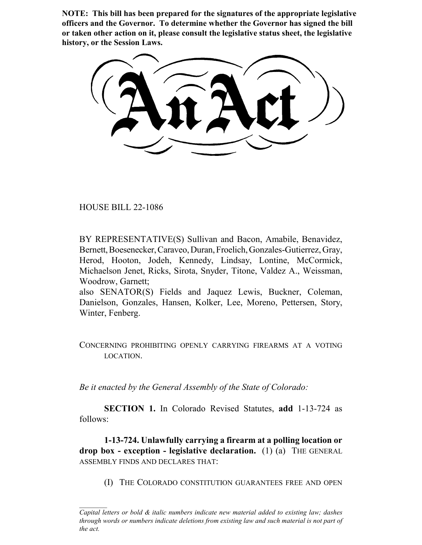**NOTE: This bill has been prepared for the signatures of the appropriate legislative officers and the Governor. To determine whether the Governor has signed the bill or taken other action on it, please consult the legislative status sheet, the legislative history, or the Session Laws.**

HOUSE BILL 22-1086

BY REPRESENTATIVE(S) Sullivan and Bacon, Amabile, Benavidez, Bernett, Boesenecker, Caraveo, Duran, Froelich, Gonzales-Gutierrez, Gray, Herod, Hooton, Jodeh, Kennedy, Lindsay, Lontine, McCormick, Michaelson Jenet, Ricks, Sirota, Snyder, Titone, Valdez A., Weissman, Woodrow, Garnett;

also SENATOR(S) Fields and Jaquez Lewis, Buckner, Coleman, Danielson, Gonzales, Hansen, Kolker, Lee, Moreno, Pettersen, Story, Winter, Fenberg.

CONCERNING PROHIBITING OPENLY CARRYING FIREARMS AT A VOTING LOCATION.

*Be it enacted by the General Assembly of the State of Colorado:*

**SECTION 1.** In Colorado Revised Statutes, **add** 1-13-724 as follows:

**1-13-724. Unlawfully carrying a firearm at a polling location or drop box - exception - legislative declaration.** (1) (a) THE GENERAL ASSEMBLY FINDS AND DECLARES THAT:

(I) THE COLORADO CONSTITUTION GUARANTEES FREE AND OPEN

*Capital letters or bold & italic numbers indicate new material added to existing law; dashes through words or numbers indicate deletions from existing law and such material is not part of the act.*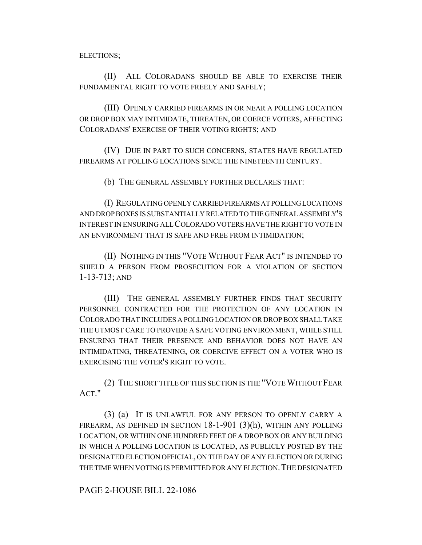ELECTIONS;

(II) ALL COLORADANS SHOULD BE ABLE TO EXERCISE THEIR FUNDAMENTAL RIGHT TO VOTE FREELY AND SAFELY;

(III) OPENLY CARRIED FIREARMS IN OR NEAR A POLLING LOCATION OR DROP BOX MAY INTIMIDATE, THREATEN, OR COERCE VOTERS, AFFECTING COLORADANS' EXERCISE OF THEIR VOTING RIGHTS; AND

(IV) DUE IN PART TO SUCH CONCERNS, STATES HAVE REGULATED FIREARMS AT POLLING LOCATIONS SINCE THE NINETEENTH CENTURY.

(b) THE GENERAL ASSEMBLY FURTHER DECLARES THAT:

(I) REGULATING OPENLY CARRIED FIREARMS AT POLLING LOCATIONS AND DROP BOXES IS SUBSTANTIALLY RELATED TO THE GENERAL ASSEMBLY'S INTEREST IN ENSURING ALL COLORADO VOTERS HAVE THE RIGHT TO VOTE IN AN ENVIRONMENT THAT IS SAFE AND FREE FROM INTIMIDATION;

(II) NOTHING IN THIS "VOTE WITHOUT FEAR ACT" IS INTENDED TO SHIELD A PERSON FROM PROSECUTION FOR A VIOLATION OF SECTION 1-13-713; AND

(III) THE GENERAL ASSEMBLY FURTHER FINDS THAT SECURITY PERSONNEL CONTRACTED FOR THE PROTECTION OF ANY LOCATION IN COLORADO THAT INCLUDES A POLLING LOCATION OR DROP BOX SHALL TAKE THE UTMOST CARE TO PROVIDE A SAFE VOTING ENVIRONMENT, WHILE STILL ENSURING THAT THEIR PRESENCE AND BEHAVIOR DOES NOT HAVE AN INTIMIDATING, THREATENING, OR COERCIVE EFFECT ON A VOTER WHO IS EXERCISING THE VOTER'S RIGHT TO VOTE.

(2) THE SHORT TITLE OF THIS SECTION IS THE "VOTE WITHOUT FEAR ACT."

(3) (a) IT IS UNLAWFUL FOR ANY PERSON TO OPENLY CARRY A FIREARM, AS DEFINED IN SECTION  $18-1-901$  (3)(h), WITHIN ANY POLLING LOCATION, OR WITHIN ONE HUNDRED FEET OF A DROP BOX OR ANY BUILDING IN WHICH A POLLING LOCATION IS LOCATED, AS PUBLICLY POSTED BY THE DESIGNATED ELECTION OFFICIAL, ON THE DAY OF ANY ELECTION OR DURING THE TIME WHEN VOTING IS PERMITTED FOR ANY ELECTION.THE DESIGNATED

PAGE 2-HOUSE BILL 22-1086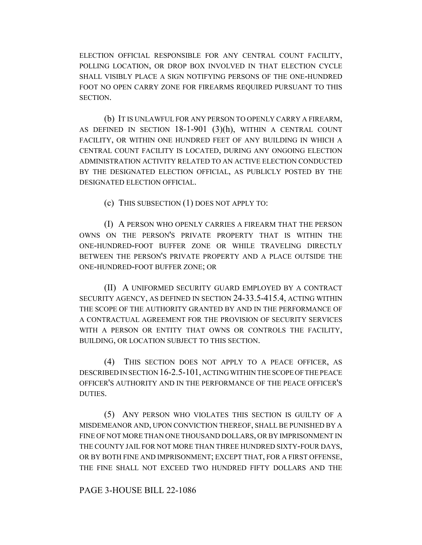ELECTION OFFICIAL RESPONSIBLE FOR ANY CENTRAL COUNT FACILITY, POLLING LOCATION, OR DROP BOX INVOLVED IN THAT ELECTION CYCLE SHALL VISIBLY PLACE A SIGN NOTIFYING PERSONS OF THE ONE-HUNDRED FOOT NO OPEN CARRY ZONE FOR FIREARMS REQUIRED PURSUANT TO THIS SECTION.

(b) IT IS UNLAWFUL FOR ANY PERSON TO OPENLY CARRY A FIREARM, AS DEFINED IN SECTION  $18-1-901$   $(3)(h)$ , within a central count FACILITY, OR WITHIN ONE HUNDRED FEET OF ANY BUILDING IN WHICH A CENTRAL COUNT FACILITY IS LOCATED, DURING ANY ONGOING ELECTION ADMINISTRATION ACTIVITY RELATED TO AN ACTIVE ELECTION CONDUCTED BY THE DESIGNATED ELECTION OFFICIAL, AS PUBLICLY POSTED BY THE DESIGNATED ELECTION OFFICIAL.

(c) THIS SUBSECTION (1) DOES NOT APPLY TO:

(I) A PERSON WHO OPENLY CARRIES A FIREARM THAT THE PERSON OWNS ON THE PERSON'S PRIVATE PROPERTY THAT IS WITHIN THE ONE-HUNDRED-FOOT BUFFER ZONE OR WHILE TRAVELING DIRECTLY BETWEEN THE PERSON'S PRIVATE PROPERTY AND A PLACE OUTSIDE THE ONE-HUNDRED-FOOT BUFFER ZONE; OR

(II) A UNIFORMED SECURITY GUARD EMPLOYED BY A CONTRACT SECURITY AGENCY, AS DEFINED IN SECTION 24-33.5-415.4, ACTING WITHIN THE SCOPE OF THE AUTHORITY GRANTED BY AND IN THE PERFORMANCE OF A CONTRACTUAL AGREEMENT FOR THE PROVISION OF SECURITY SERVICES WITH A PERSON OR ENTITY THAT OWNS OR CONTROLS THE FACILITY. BUILDING, OR LOCATION SUBJECT TO THIS SECTION.

(4) THIS SECTION DOES NOT APPLY TO A PEACE OFFICER, AS DESCRIBED IN SECTION 16-2.5-101, ACTING WITHIN THE SCOPE OF THE PEACE OFFICER'S AUTHORITY AND IN THE PERFORMANCE OF THE PEACE OFFICER'S DUTIES.

(5) ANY PERSON WHO VIOLATES THIS SECTION IS GUILTY OF A MISDEMEANOR AND, UPON CONVICTION THEREOF, SHALL BE PUNISHED BY A FINE OF NOT MORE THAN ONE THOUSAND DOLLARS, OR BY IMPRISONMENT IN THE COUNTY JAIL FOR NOT MORE THAN THREE HUNDRED SIXTY-FOUR DAYS, OR BY BOTH FINE AND IMPRISONMENT; EXCEPT THAT, FOR A FIRST OFFENSE, THE FINE SHALL NOT EXCEED TWO HUNDRED FIFTY DOLLARS AND THE

## PAGE 3-HOUSE BILL 22-1086